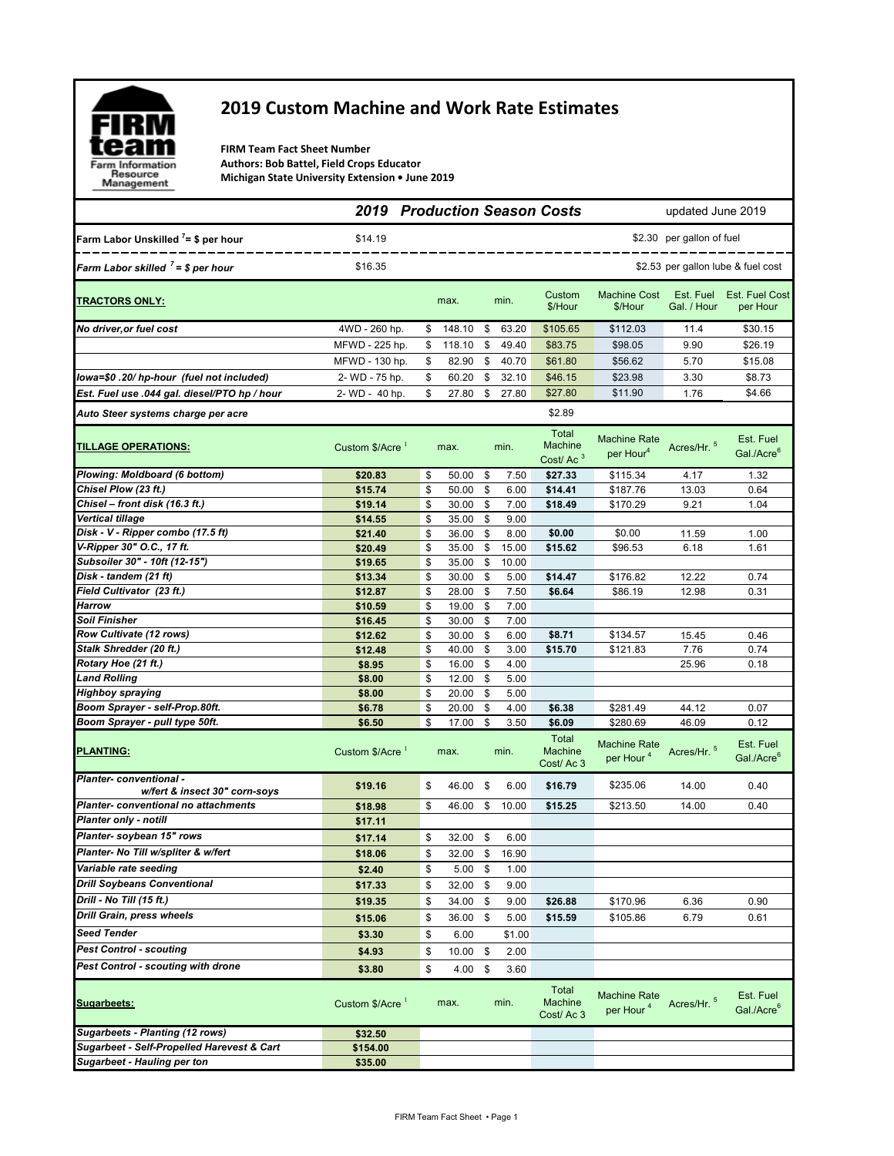

## **2019 Custom Machine and Work Rate Estimates**

**FIRM Team Fact Sheet Number Authors: Bob Battel, Field Crops Educator Michigan State University Extension • June 2019**

|                                                                 |                             |          |                |          |                | <b>2019 Production Season Costs</b>  | updated June 2019                            |                           |                                     |
|-----------------------------------------------------------------|-----------------------------|----------|----------------|----------|----------------|--------------------------------------|----------------------------------------------|---------------------------|-------------------------------------|
| Farm Labor Unskilled $7 = $$ per hour                           | \$14.19                     |          |                |          |                |                                      |                                              | \$2.30 per gallon of fuel |                                     |
| Farm Labor skilled $7 = $$ per hour                             | \$16.35                     |          |                |          |                |                                      |                                              |                           | \$2.53 per gallon lube & fuel cost  |
| TRACTORS ONLY:                                                  |                             |          | max.           |          | min.           | Custom<br>\$/Hour                    | <b>Machine Cost</b><br>\$/Hour               | Est. Fuel<br>Gal. / Hour  | Est. Fuel Cost<br>per Hour          |
| No driver, or fuel cost                                         | 4WD - 260 hp.               | \$       | 148.10         | \$       | 63.20          | \$105.65                             | \$112.03                                     | 11.4                      | \$30.15                             |
|                                                                 | MFWD - 225 hp.              | \$       | 118.10         | \$       | 49.40          | \$83.75                              | \$98.05                                      | 9.90                      | \$26.19                             |
|                                                                 | MFWD - 130 hp.              | \$       | 82.90          | \$       | 40.70          | \$61.80                              | \$56.62                                      | 5.70                      | \$15.08                             |
| lowa=\$0.20/hp-hour (fuel not included)                         | 2- WD - 75 hp.              | \$       | 60.20          | \$       | 32.10          | \$46.15                              | \$23.98                                      | 3.30                      | \$8.73                              |
| Est. Fuel use .044 gal. diesel/PTO hp / hour                    | 2-WD - 40 hp.               | \$       | 27.80          | \$       | 27.80          | \$27.80                              | \$11.90                                      | 1.76                      | \$4.66                              |
| Auto Steer systems charge per acre                              |                             |          |                |          |                | \$2.89                               |                                              |                           |                                     |
| <b>TILLAGE OPERATIONS:</b>                                      | Custom \$/Acre 1            |          | max.           |          | min.           | Total<br>Machine<br>Cost/ $Ac3$      | <b>Machine Rate</b><br>per Hour <sup>4</sup> | Acres/Hr. 5               | Est. Fuel<br>Gal./Acre <sup>6</sup> |
| Plowing: Moldboard (6 bottom)                                   | \$20.83                     | \$       | 50.00          | \$       | 7.50           | \$27.33                              | \$115.34                                     | 4.17                      | 1.32                                |
| Chisel Plow (23 ft.)                                            | \$15.74                     | \$       | 50.00          | \$       | 6.00           | \$14.41                              | \$187.76                                     | 13.03                     | 0.64                                |
| Chisel - front disk (16.3 ft.)                                  | \$19.14                     | \$       | 30.00          | \$       | 7.00           | \$18.49                              | \$170.29                                     | 9.21                      | 1.04                                |
| Vertical tillage<br>Disk - V - Ripper combo (17.5 ft)           | \$14.55<br>\$21.40          | \$<br>\$ | 35.00          | \$<br>\$ | 9.00<br>8.00   | \$0.00                               |                                              |                           |                                     |
| V-Ripper 30" O.C., 17 ft.                                       | \$20.49                     | \$       | 36.00<br>35.00 | \$       | 15.00          | \$15.62                              | \$0.00<br>\$96.53                            | 11.59<br>6.18             | 1.00<br>1.61                        |
| Subsoiler 30" - 10ft (12-15")                                   | \$19.65                     | \$       | 35.00          | \$       | 10.00          |                                      |                                              |                           |                                     |
| Disk - tandem (21 ft)                                           | \$13.34                     | \$       | 30.00          | \$       | 5.00           | \$14.47                              | \$176.82                                     | 12.22                     | 0.74                                |
| Field Cultivator (23 ft.)                                       | \$12.87                     | \$       | 28.00          | \$       | 7.50           | \$6.64                               | \$86.19                                      | 12.98                     | 0.31                                |
| Harrow                                                          | \$10.59                     | \$       | 19.00          | \$       | 7.00           |                                      |                                              |                           |                                     |
| Soil Finisher                                                   | \$16.45                     | \$       | 30.00          | \$       | 7.00           |                                      |                                              |                           |                                     |
| Row Cultivate (12 rows)                                         | \$12.62                     | \$       | 30.00          | \$       | 6.00           | \$8.71                               | \$134.57                                     | 15.45                     | 0.46                                |
| Stalk Shredder (20 ft.)                                         | \$12.48                     | \$       | 40.00          | \$       | 3.00           | \$15.70                              | \$121.83                                     | 7.76                      | 0.74                                |
| Rotary Hoe (21 ft.)<br><b>Land Rolling</b>                      | \$8.95                      | \$<br>\$ | 16.00<br>12.00 | \$<br>\$ | 4.00<br>5.00   |                                      |                                              | 25.96                     | 0.18                                |
| Highboy spraying                                                | \$8.00<br>\$8.00            | \$       | 20.00          | \$       | 5.00           |                                      |                                              |                           |                                     |
| Boom Sprayer - self-Prop.80ft.                                  | \$6.78                      | \$       | 20.00          | \$       | 4.00           | \$6.38                               | \$281.49                                     | 44.12                     | 0.07                                |
| Boom Sprayer - pull type 50ft.                                  | \$6.50                      | \$       | 17.00          | \$       | 3.50           | \$6.09                               | \$280.69                                     | 46.09                     | 0.12                                |
| <u>PLANTING:</u>                                                | Custom \$/Acre <sup>1</sup> |          | max.           |          | min.           | Total<br>Machine<br>Cost/Ac 3        | <b>Machine Rate</b><br>per Hour <sup>4</sup> | Acres/Hr. 5               | Est. Fuel<br>Gal./Acre <sup>6</sup> |
| <b>Planter- conventional -</b><br>w/fert & insect 30" corn-soys | \$19.16                     | \$       | 46.00 \$       |          | 6.00           | \$16.79                              | \$235.06                                     | 14.00                     | 0.40                                |
| Planter-conventional no attachments                             | \$18.98                     | \$       | 46.00          | \$       | 10.00          | \$15.25                              | \$213.50                                     | 14.00                     | 0.40                                |
| Planter only - notill                                           | \$17.11                     |          |                |          |                |                                      |                                              |                           |                                     |
| Planter- soybean 15" rows                                       | \$17.14                     | \$       | $32.00$ \$     |          | 6.00           |                                      |                                              |                           |                                     |
| Planter- No Till w/spliter & w/fert                             | \$18.06                     | \$       |                |          | 32.00 \$ 16.90 |                                      |                                              |                           |                                     |
| Variable rate seeding                                           | \$2.40                      | \$       | 5.00           | \$       | 1.00           |                                      |                                              |                           |                                     |
| <b>Drill Soybeans Conventional</b>                              | \$17.33                     | \$       | 32.00          | \$       | 9.00           |                                      |                                              |                           |                                     |
| Drill - No Till (15 ft.)                                        | \$19.35                     | \$       | 34.00          | \$       | 9.00           | \$26.88                              | \$170.96                                     | 6.36                      | 0.90                                |
| Drill Grain, press wheels                                       | \$15.06                     | \$       | 36.00          | \$       | 5.00           | \$15.59                              | \$105.86                                     | 6.79                      | 0.61                                |
| <b>Seed Tender</b>                                              | \$3.30                      | \$       | 6.00           |          | \$1.00         |                                      |                                              |                           |                                     |
| <b>Pest Control - scouting</b>                                  | \$4.93                      | \$       | 10.00          | \$       | 2.00           |                                      |                                              |                           |                                     |
| Pest Control - scouting with drone                              | \$3.80                      | \$       | $4.00\ 5$      |          | 3.60           |                                      |                                              |                           |                                     |
| <b>Sugarbeets:</b>                                              | Custom \$/Acre <sup>1</sup> |          | max.           |          | min.           | Total<br><b>Machine</b><br>Cost/Ac 3 | <b>Machine Rate</b><br>per Hour <sup>4</sup> | Acres/Hr. 5               | Est. Fuel<br>Gal./Acre <sup>6</sup> |
| Sugarbeets - Planting (12 rows)                                 | \$32.50                     |          |                |          |                |                                      |                                              |                           |                                     |
| Sugarbeet - Self-Propelled Harevest & Cart                      | \$154.00                    |          |                |          |                |                                      |                                              |                           |                                     |
| <b>Sugarbeet - Hauling per ton</b>                              | \$35.00                     |          |                |          |                |                                      |                                              |                           |                                     |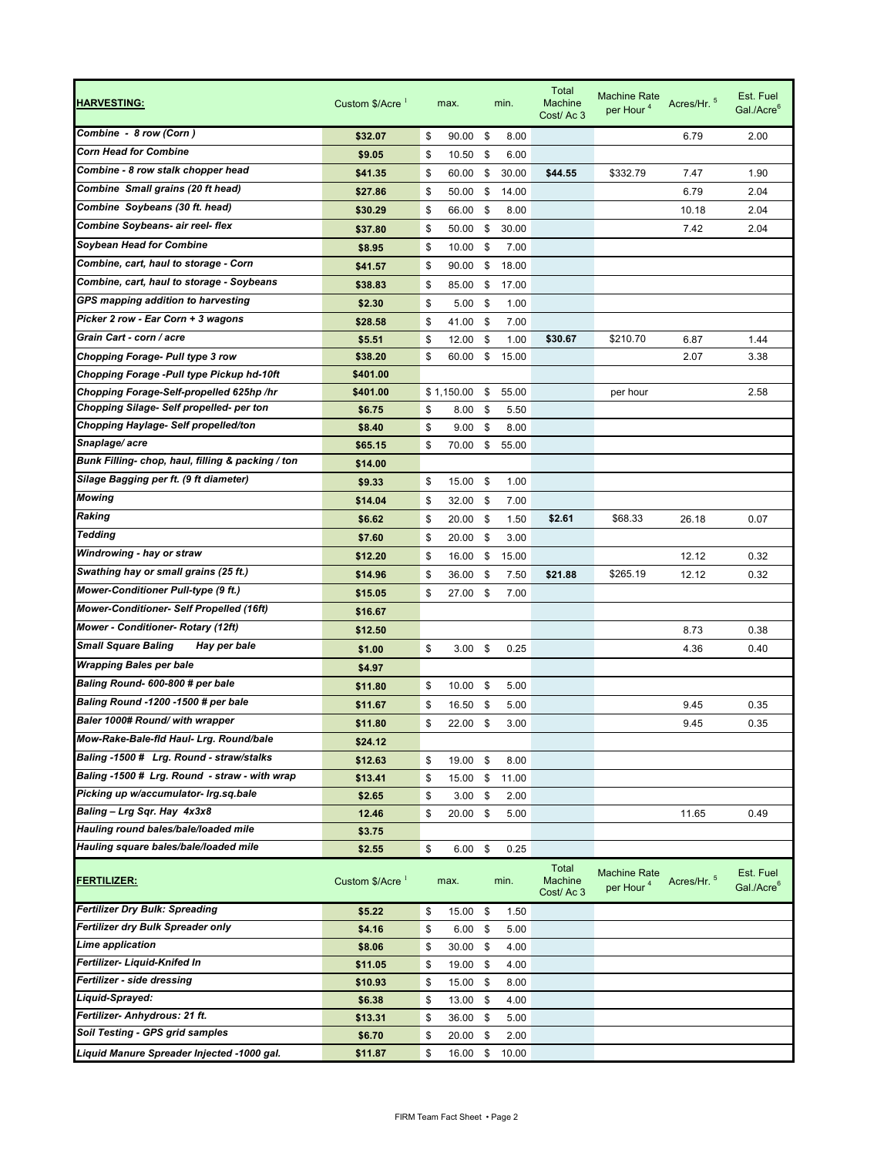| <u>HARVESTING:</u>                               | Custom $$/Acre$ <sup>1</sup> | max.                 |      | min.  | Total<br><b>Machine</b><br>Cost/Ac 3 | <b>Machine Rate</b><br>per Hour <sup>4</sup> | Acres/Hr. 5 | Est. Fuel<br>Gal./Acre <sup>6</sup> |
|--------------------------------------------------|------------------------------|----------------------|------|-------|--------------------------------------|----------------------------------------------|-------------|-------------------------------------|
| Combine - 8 row (Corn)                           | \$32.07                      | \$<br>90.00          | \$   | 8.00  |                                      |                                              | 6.79        | 2.00                                |
| <b>Corn Head for Combine</b>                     | \$9.05                       | \$<br>10.50          | \$   | 6.00  |                                      |                                              |             |                                     |
| Combine - 8 row stalk chopper head               | \$41.35                      | \$<br>60.00          | \$   | 30.00 | \$44.55                              | \$332.79                                     | 7.47        | 1.90                                |
| Combine Small grains (20 ft head)                | \$27.86                      | \$<br>50.00          | \$   | 14.00 |                                      |                                              | 6.79        | 2.04                                |
| Combine Soybeans (30 ft. head)                   | \$30.29                      | \$<br>66.00          | \$   | 8.00  |                                      |                                              | 10.18       | 2.04                                |
| Combine Soybeans- air reel- flex                 | \$37.80                      | \$<br>50.00          | \$   | 30.00 |                                      |                                              | 7.42        | 2.04                                |
| <b>Soybean Head for Combine</b>                  | \$8.95                       | \$<br>10.00          | \$   | 7.00  |                                      |                                              |             |                                     |
| Combine, cart, haul to storage - Corn            | \$41.57                      | \$<br>90.00          | \$   | 18.00 |                                      |                                              |             |                                     |
| Combine, cart, haul to storage - Soybeans        | \$38.83                      | \$<br>85.00          | \$   | 17.00 |                                      |                                              |             |                                     |
| GPS mapping addition to harvesting               | \$2.30                       | \$<br>5.00           | \$   | 1.00  |                                      |                                              |             |                                     |
| Picker 2 row - Ear Corn + 3 wagons               | \$28.58                      | \$<br>41.00          | \$   | 7.00  |                                      |                                              |             |                                     |
| Grain Cart - corn / acre                         | \$5.51                       | \$<br>12.00          | \$   | 1.00  | \$30.67                              | \$210.70                                     | 6.87        | 1.44                                |
| Chopping Forage- Pull type 3 row                 | \$38.20                      | \$<br>60.00          | \$   | 15.00 |                                      |                                              | 2.07        | 3.38                                |
| Chopping Forage -Pull type Pickup hd-10ft        | \$401.00                     |                      |      |       |                                      |                                              |             |                                     |
| Chopping Forage-Self-propelled 625hp /hr         | \$401.00                     | \$1,150.00           | \$   | 55.00 |                                      | per hour                                     |             | 2.58                                |
| Chopping Silage- Self propelled- per ton         | \$6.75                       | \$<br>8.00           | \$   | 5.50  |                                      |                                              |             |                                     |
| Chopping Haylage- Self propelled/ton             | \$8.40                       | \$<br>9.00           | \$   | 8.00  |                                      |                                              |             |                                     |
| Snaplage/acre                                    | \$65.15                      | \$<br>70.00          | \$   | 55.00 |                                      |                                              |             |                                     |
| Bunk Filling-chop, haul, filling & packing / ton | \$14.00                      |                      |      |       |                                      |                                              |             |                                     |
| Silage Bagging per ft. (9 ft diameter)           | \$9.33                       | \$<br>15.00          | - \$ | 1.00  |                                      |                                              |             |                                     |
| Mowing                                           | \$14.04                      | \$<br>32.00          | \$   | 7.00  |                                      |                                              |             |                                     |
| Raking                                           | \$6.62                       | \$<br>20.00          | \$   | 1.50  | \$2.61                               | \$68.33                                      | 26.18       | 0.07                                |
| <b>Tedding</b>                                   | \$7.60                       | \$<br>20.00          | \$   | 3.00  |                                      |                                              |             |                                     |
| Windrowing - hay or straw                        | \$12.20                      | \$<br>16.00          | \$   | 15.00 |                                      |                                              | 12.12       | 0.32                                |
| Swathing hay or small grains (25 ft.)            | \$14.96                      | \$<br>36.00          | \$   | 7.50  | \$21.88                              | \$265.19                                     | 12.12       | 0.32                                |
| Mower-Conditioner Pull-type (9 ft.)              | \$15.05                      | \$<br>27.00          | \$   | 7.00  |                                      |                                              |             |                                     |
| Mower-Conditioner- Self Propelled (16ft)         | \$16.67                      |                      |      |       |                                      |                                              |             |                                     |
| Mower - Conditioner- Rotary (12ft)               | \$12.50                      |                      |      |       |                                      |                                              | 8.73        | 0.38                                |
| <b>Small Square Baling</b><br>Hay per bale       | \$1.00                       | \$<br>$3.00$ \$      |      | 0.25  |                                      |                                              | 4.36        | 0.40                                |
| <b>Wrapping Bales per bale</b>                   | \$4.97                       |                      |      |       |                                      |                                              |             |                                     |
| Baling Round- 600-800 # per bale                 | \$11.80                      | \$<br>10.00          | \$   | 5.00  |                                      |                                              |             |                                     |
| Baling Round -1200 -1500 # per bale              | \$11.67                      | \$<br>16.50          | \$   | 5.00  |                                      |                                              | 9.45        | 0.35                                |
| Baler 1000# Round/ with wrapper                  | \$11.80                      | \$<br>22.00          | \$   | 3.00  |                                      |                                              | 9.45        | 0.35                                |
| Mow-Rake-Bale-fid Haul- Lrg. Round/bale          | \$24.12                      |                      |      |       |                                      |                                              |             |                                     |
| Baling -1500 # Lrg. Round - straw/stalks         | \$12.63                      | \$<br>19.00          | \$   | 8.00  |                                      |                                              |             |                                     |
| Baling -1500 # Lrg. Round - straw - with wrap    | \$13.41                      | \$<br>15.00 \$       |      | 11.00 |                                      |                                              |             |                                     |
| Picking up w/accumulator- Irg.sg.bale            | \$2.65                       | \$<br>$3.00$ \$      |      | 2.00  |                                      |                                              |             |                                     |
| Baling - Lrg Sqr. Hay 4x3x8                      | 12.46                        | \$<br>20.00 \$       |      | 5.00  |                                      |                                              | 11.65       | 0.49                                |
| Hauling round bales/bale/loaded mile             | \$3.75                       |                      |      |       |                                      |                                              |             |                                     |
| Hauling square bales/bale/loaded mile            | \$2.55                       | \$<br>$6.00$ \$      |      | 0.25  |                                      |                                              |             |                                     |
| <b>FERTILIZER:</b>                               | Custom \$/Acre <sup>1</sup>  | max.                 |      | min.  | Total<br><b>Machine</b><br>Cost/Ac 3 | <b>Machine Rate</b><br>per Hour <sup>4</sup> | Acres/Hr. 5 | Est. Fuel<br>Gal./Acre <sup>6</sup> |
| <b>Fertilizer Dry Bulk: Spreading</b>            | \$5.22                       | \$<br>15.00 \$       |      | 1.50  |                                      |                                              |             |                                     |
| Fertilizer dry Bulk Spreader only                | \$4.16                       | \$<br>$6.00\quad$ \$ |      | 5.00  |                                      |                                              |             |                                     |
| Lime application                                 | \$8.06                       | \$<br>30.00          | \$   | 4.00  |                                      |                                              |             |                                     |
| Fertilizer- Liquid-Knifed In                     | \$11.05                      | \$<br>19.00          | \$   | 4.00  |                                      |                                              |             |                                     |
| Fertilizer - side dressing                       | \$10.93                      | \$<br>15.00          | \$   | 8.00  |                                      |                                              |             |                                     |
| Liquid-Sprayed:                                  | \$6.38                       | \$<br>13.00          | \$   | 4.00  |                                      |                                              |             |                                     |
| Fertilizer- Anhydrous: 21 ft.                    | \$13.31                      | \$<br>36.00          | \$   | 5.00  |                                      |                                              |             |                                     |
| Soil Testing - GPS grid samples                  | \$6.70                       | \$<br>20.00          | \$   | 2.00  |                                      |                                              |             |                                     |
| Liquid Manure Spreader Injected -1000 gal.       | \$11.87                      | \$<br>16.00          | \$   | 10.00 |                                      |                                              |             |                                     |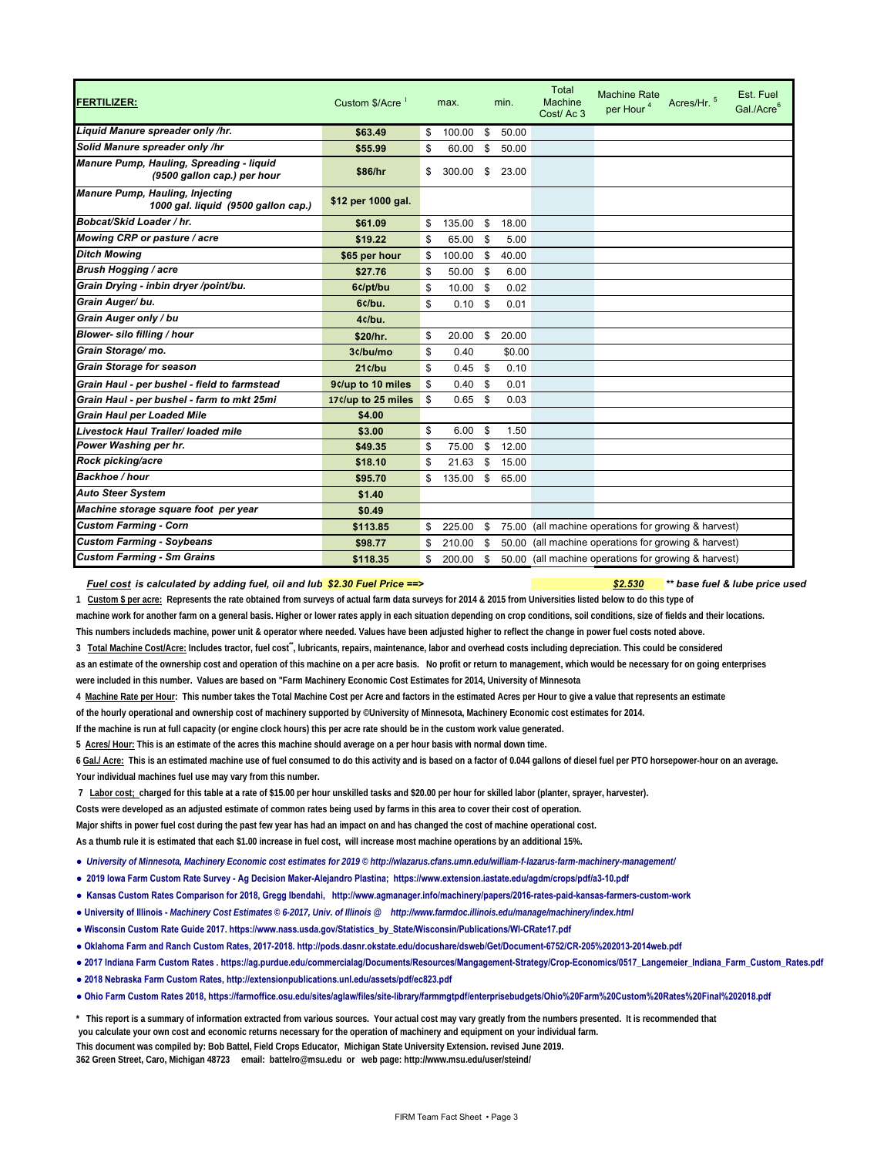| <b>FERTILIZER:</b>                                                            | Custom $$/Acre$ <sup>1</sup> | max.         | min. |        | Total<br><b>Machine</b><br>Cost/Ac 3                 | <b>Machine Rate</b><br>per Hour <sup>4</sup> | Acres/Hr. 5 | Est. Fuel<br>Gal./Acre <sup>6</sup> |
|-------------------------------------------------------------------------------|------------------------------|--------------|------|--------|------------------------------------------------------|----------------------------------------------|-------------|-------------------------------------|
| Liquid Manure spreader only /hr.                                              | \$63.49                      | \$<br>100.00 | \$   | 50.00  |                                                      |                                              |             |                                     |
| Solid Manure spreader only /hr                                                | \$55.99                      | \$<br>60.00  | \$   | 50.00  |                                                      |                                              |             |                                     |
| Manure Pump, Hauling, Spreading - liquid<br>(9500 gallon cap.) per hour       | \$86/hr                      | \$<br>300.00 | \$   | 23.00  |                                                      |                                              |             |                                     |
| <b>Manure Pump, Hauling, Injecting</b><br>1000 gal. liquid (9500 gallon cap.) | \$12 per 1000 gal.           |              |      |        |                                                      |                                              |             |                                     |
| Bobcat/Skid Loader / hr.                                                      | \$61.09                      | \$<br>135.00 | \$   | 18.00  |                                                      |                                              |             |                                     |
| Mowing CRP or pasture / acre                                                  | \$19.22                      | \$<br>65.00  | \$   | 5.00   |                                                      |                                              |             |                                     |
| <b>Ditch Mowing</b>                                                           | \$65 per hour                | \$<br>100.00 | \$   | 40.00  |                                                      |                                              |             |                                     |
| <b>Brush Hogging / acre</b>                                                   | \$27.76                      | \$<br>50.00  | \$   | 6.00   |                                                      |                                              |             |                                     |
| Grain Drying - inbin dryer /point/bu.                                         | 6c/pt/bu                     | \$<br>10.00  | \$   | 0.02   |                                                      |                                              |             |                                     |
| Grain Auger/bu.                                                               | 6c/bu.                       | \$<br>0.10   | \$   | 0.01   |                                                      |                                              |             |                                     |
| Grain Auger only / bu                                                         | 4c/bu.                       |              |      |        |                                                      |                                              |             |                                     |
| Blower- silo filling / hour                                                   | \$20/hr.                     | \$<br>20.00  | \$   | 20.00  |                                                      |                                              |             |                                     |
| Grain Storage/mo.                                                             | 3c/bu/mo                     | \$<br>0.40   |      | \$0.00 |                                                      |                                              |             |                                     |
| <b>Grain Storage for season</b>                                               | 21c/bu                       | \$<br>0.45   | \$   | 0.10   |                                                      |                                              |             |                                     |
| Grain Haul - per bushel - field to farmstead                                  | 9c/up to 10 miles            | \$<br>0.40   | \$   | 0.01   |                                                      |                                              |             |                                     |
| Grain Haul - per bushel - farm to mkt 25mi                                    | 17¢/up to 25 miles           | \$<br>0.65   | \$   | 0.03   |                                                      |                                              |             |                                     |
| <b>Grain Haul per Loaded Mile</b>                                             | \$4.00                       |              |      |        |                                                      |                                              |             |                                     |
| Livestock Haul Trailer/ loaded mile                                           | \$3.00                       | \$<br>6.00   | \$   | 1.50   |                                                      |                                              |             |                                     |
| Power Washing per hr.                                                         | \$49.35                      | \$<br>75.00  | \$   | 12.00  |                                                      |                                              |             |                                     |
| Rock picking/acre                                                             | \$18.10                      | \$<br>21.63  | \$   | 15.00  |                                                      |                                              |             |                                     |
| Backhoe / hour                                                                | \$95.70                      | \$<br>135.00 | \$   | 65.00  |                                                      |                                              |             |                                     |
| <b>Auto Steer System</b>                                                      | \$1.40                       |              |      |        |                                                      |                                              |             |                                     |
| Machine storage square foot per year                                          | \$0.49                       |              |      |        |                                                      |                                              |             |                                     |
| <b>Custom Farming - Corn</b>                                                  | \$113.85                     | \$<br>225.00 | \$   | 75.00  | (all machine operations for growing & harvest)       |                                              |             |                                     |
| <b>Custom Farming - Soybeans</b>                                              | \$98.77                      | \$<br>210.00 | \$   | 50.00  | (all machine operations for growing & harvest)       |                                              |             |                                     |
| <b>Custom Farming - Sm Grains</b>                                             | \$118.35                     | \$<br>200.00 | \$   |        | 50.00 (all machine operations for growing & harvest) |                                              |             |                                     |

## *Fuel cost is calculated by adding fuel, oil and lub \$2.30 Fuel Price ==> \$2.530 \*\* base fuel & lube price used*

**1 Custom \$ per acre: Represents the rate obtained from surveys of actual farm data surveys for 2014 & 2015 from Universities listed below to do this type of**  machine work for another farm on a general basis. Higher or lower rates apply in each situation depending on crop conditions, soil conditions, size of fields and their locations. **This numbers includeds machine, power unit & operator where needed. Values have been adjusted higher to reflect the change in power fuel costs noted above.**

3 Total Machine Cost/Acre: Includes tractor, fuel cost<sup>\*\*</sup>, lubricants, repairs, maintenance, labor and overhead costs including depreciation. This could be considered

- **as an estimate of the ownership cost and operation of this machine on a per acre basis. No profit or return to management, which would be necessary for on going enterprises were included in this number. Values are based on "Farm Machinery Economic Cost Estimates for 2014, University of Minnesota**
- **4 Machine Rate per Hour: This number takes the Total Machine Cost per Acre and factors in the estimated Acres per Hour to give a value that represents an estimate**

**of the hourly operational and ownership cost of machinery supported by ©University of Minnesota, Machinery Economic cost estimates for 2014.**

**If the machine is run at full capacity (or engine clock hours) this per acre rate should be in the custom work value generated.**

**5 Acres/ Hour: This is an estimate of the acres this machine should average on a per hour basis with normal down time.**

**6 Gal./ Acre: This is an estimated machine use of fuel consumed to do this activity and is based on a factor of 0.044 gallons of diesel fuel per PTO horsepower-hour on an average. Your individual machines fuel use may vary from this number.**

 **7 Labor cost; charged for this table at a rate of \$15.00 per hour unskilled tasks and \$20.00 per hour for skilled labor (planter, sprayer, harvester).** 

**Costs were developed as an adjusted estimate of common rates being used by farms in this area to cover their cost of operation.** 

**Major shifts in power fuel cost during the past few year has had an impact on and has changed the cost of machine operational cost.** 

**As a thumb rule it is estimated that each \$1.00 increase in fuel cost, will increase most machine operations by an additional 15%.**

**●** *University of Minnesota, Machinery Economic cost estimates for 2019 © http://wlazarus.cfans.umn.edu/william-f-lazarus-farm-machinery-management/*

**● 2019 Iowa Farm Custom Rate Survey - Ag Decision Maker-Alejandro Plastina; https://www.extension.iastate.edu/agdm/crops/pdf/a3-10.pdf**

**● Kansas Custom Rates Comparison for 2018, Gregg Ibendahi, http://www.agmanager.info/machinery/papers/2016-rates-paid-kansas-farmers-custom-work**

- **University of Illinois -** *Machinery Cost Estimates* **©** *6-2017, Univ. of Illinois @ http://www.farmdoc.illinois.edu/manage/machinery/index.html*
- **Wisconsin Custom Rate Guide 2017. https://www.nass.usda.gov/Statistics\_by\_State/Wisconsin/Publications/WI-CRate17.pdf**

**● Oklahoma Farm and Ranch Custom Rates, 2017-2018. http://pods.dasnr.okstate.edu/docushare/dsweb/Get/Document-6752/CR-205%202013-2014web.pdf**

- **2017 Indiana Farm Custom Rates . https://ag.purdue.edu/commercialag/Documents/Resources/Mangagement-Strategy/Crop-Economics/0517\_Langemeier\_Indiana\_Farm\_Custom\_Rates.pdf**
- **2018 Nebraska Farm Custom Rates, http://extensionpublications.unl.edu/assets/pdf/ec823.pdf**
- **Ohio Farm Custom Rates 2018, https://farmoffice.osu.edu/sites/aglaw/files/site-library/farmmgtpdf/enterprisebudgets/Ohio%20Farm%20Custom%20Rates%20Final%202018.pdf**

**\* This report is a summary of information extracted from various sources. Your actual cost may vary greatly from the numbers presented. It is recommended that**

 **you calculate your own cost and economic returns necessary for the operation of machinery and equipment on your individual farm.** 

**This document was compiled by: Bob Battel, Field Crops Educator, Michigan State University Extension. revised June 2019.**

**362 Green Street, Caro, Michigan 48723 email: battelro@msu.edu or web page: http://www.msu.edu/user/steind/**